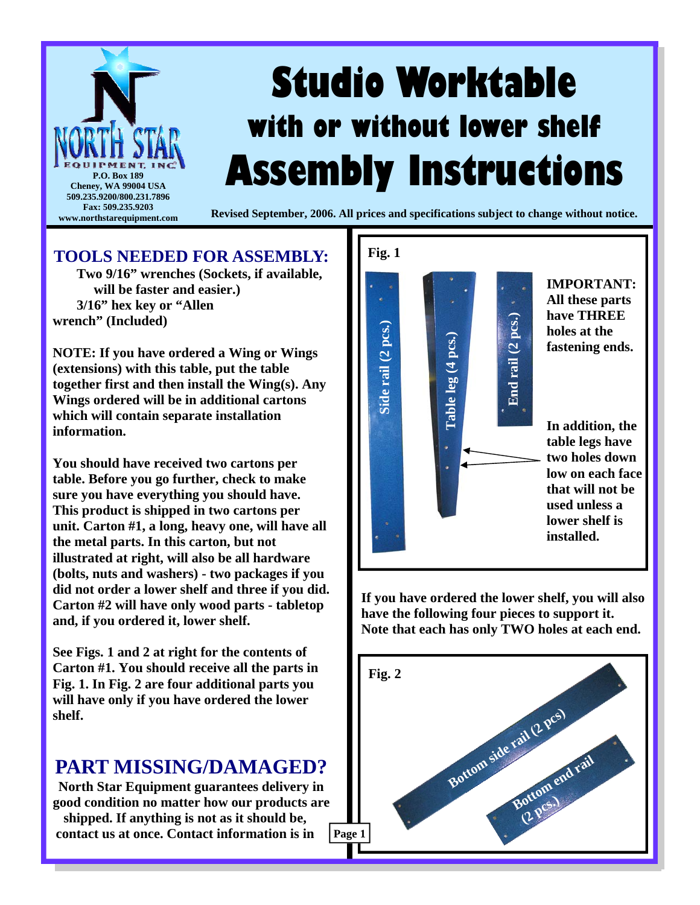

## **TOOLS NEEDED FOR ASSEMBLY:**

 **Two 9/16" wrenches (Sockets, if available, will be faster and easier.) 3/16" hex key or "Allen wrench" (Included)** 

**NOTE: If you have ordered a Wing or Wings (extensions) with this table, put the table together first and then install the Wing(s). Any Wings ordered will be in additional cartons which will contain separate installation information.** 

**You should have received two cartons per table. Before you go further, check to make sure you have everything you should have. This product is shipped in two cartons per unit. Carton #1, a long, heavy one, will have all the metal parts. In this carton, but not illustrated at right, will also be all hardware (bolts, nuts and washers) - two packages if you did not order a lower shelf and three if you did. Carton #2 will have only wood parts - tabletop and, if you ordered it, lower shelf.** 

**See Figs. 1 and 2 at right for the contents of Carton #1. You should receive all the parts in Fig. 1. In Fig. 2 are four additional parts you will have only if you have ordered the lower shelf.** 

## **PART MISSING/DAMAGED?**

**North Star Equipment guarantees delivery in good condition no matter how our products are shipped. If anything is not as it should be, contact us at once. Contact information is in** 



**If you have ordered the lower shelf, you will also have the following four pieces to support it. Note that each has only TWO holes at each end.** 

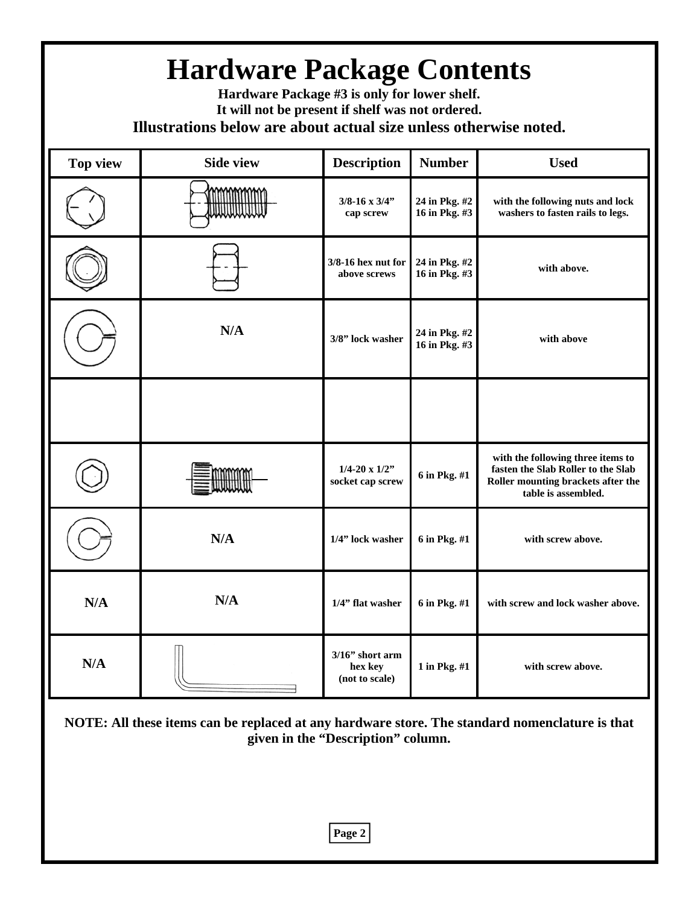| <b>Hardware Package Contents</b><br>Hardware Package #3 is only for lower shelf.<br>It will not be present if shelf was not ordered.<br>Illustrations below are about actual size unless otherwise noted. |                  |                                                 |                                |                                                                                                                                      |
|-----------------------------------------------------------------------------------------------------------------------------------------------------------------------------------------------------------|------------------|-------------------------------------------------|--------------------------------|--------------------------------------------------------------------------------------------------------------------------------------|
| <b>Top view</b>                                                                                                                                                                                           | <b>Side view</b> | <b>Description</b>                              | <b>Number</b>                  | <b>Used</b>                                                                                                                          |
|                                                                                                                                                                                                           |                  | $3/8 - 16 \times 3/4$ "<br>cap screw            | 24 in Pkg. #2<br>16 in Pkg. #3 | with the following nuts and lock<br>washers to fasten rails to legs.                                                                 |
|                                                                                                                                                                                                           |                  | $3/8-16$ hex nut for<br>above screws            | 24 in Pkg. #2<br>16 in Pkg. #3 | with above.                                                                                                                          |
|                                                                                                                                                                                                           | N/A              | 3/8" lock washer                                | 24 in Pkg. #2<br>16 in Pkg. #3 | with above                                                                                                                           |
|                                                                                                                                                                                                           |                  |                                                 |                                |                                                                                                                                      |
|                                                                                                                                                                                                           |                  | $1/4 - 20 \times 1/2$ "<br>socket cap screw     | 6 in Pkg. #1                   | with the following three items to<br>fasten the Slab Roller to the Slab<br>Roller mounting brackets after the<br>table is assembled. |
|                                                                                                                                                                                                           | N/A              | 1/4" lock washer                                | 6 in Pkg. #1                   | with screw above.                                                                                                                    |
| N/A                                                                                                                                                                                                       | N/A              | 1/4" flat washer                                | 6 in Pkg. #1                   | with screw and lock washer above.                                                                                                    |
| N/A                                                                                                                                                                                                       |                  | $3/16$ " short arm<br>hex key<br>(not to scale) | 1 in Pkg. #1                   | with screw above.                                                                                                                    |
| NOTE: All these items can be replaced at any hardware store. The standard nomenclature is that<br>given in the "Description" column.                                                                      |                  |                                                 |                                |                                                                                                                                      |

**Page 2**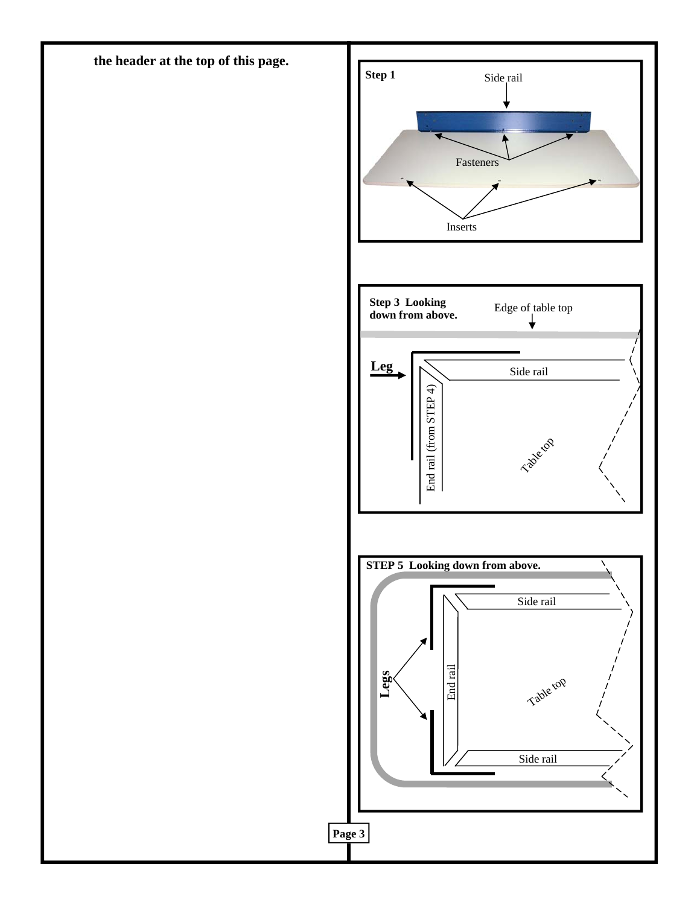